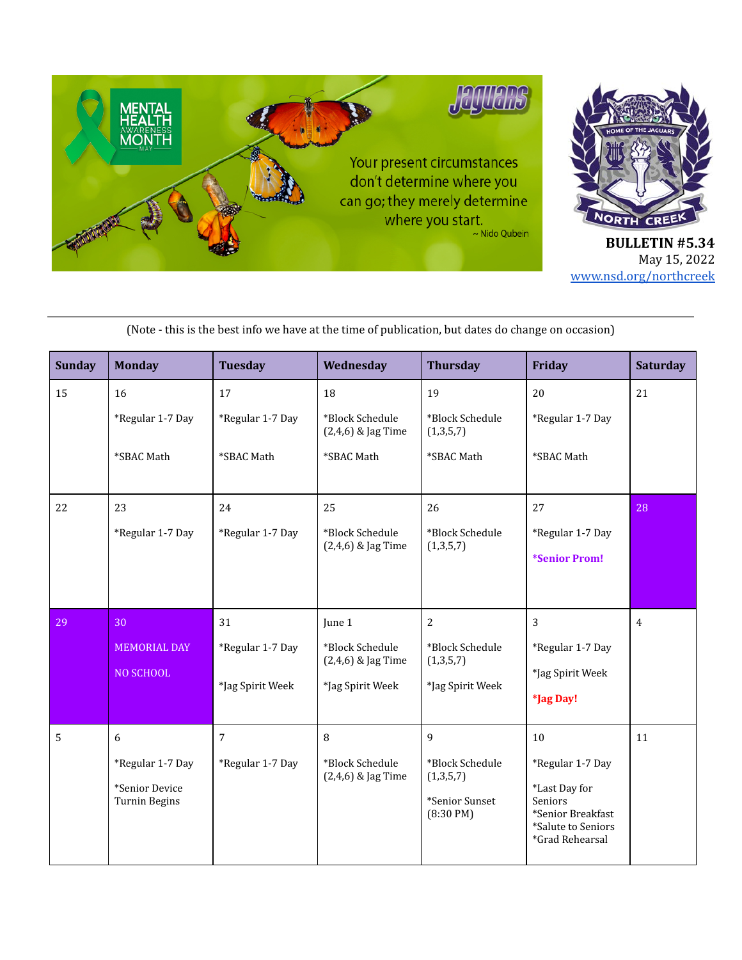

| <b>Sunday</b> | <b>Monday</b>                                                   | <b>Tuesday</b>                             | Wednesday                                                           | <b>Thursday</b>                                                   | Friday                                                                                                                  | <b>Saturday</b> |
|---------------|-----------------------------------------------------------------|--------------------------------------------|---------------------------------------------------------------------|-------------------------------------------------------------------|-------------------------------------------------------------------------------------------------------------------------|-----------------|
| 15            | 16<br>*Regular 1-7 Day<br>*SBAC Math                            | 17<br>*Regular 1-7 Day<br>*SBAC Math       | 18<br>*Block Schedule<br>$(2,4,6)$ & Jag Time<br>*SBAC Math         | 19<br>*Block Schedule<br>(1,3,5,7)<br>*SBAC Math                  | 20<br>*Regular 1-7 Day<br>*SBAC Math                                                                                    | 21              |
| 22            | 23<br>*Regular 1-7 Day                                          | 24<br>*Regular 1-7 Day                     | 25<br>*Block Schedule<br>$(2,4,6)$ & Jag Time                       | 26<br>*Block Schedule<br>(1,3,5,7)                                | 27<br>*Regular 1-7 Day<br><i>*Senior Prom!</i>                                                                          | 28              |
| 29            | 30<br><b>MEMORIAL DAY</b><br>NO SCHOOL                          | 31<br>*Regular 1-7 Day<br>*Jag Spirit Week | June 1<br>*Block Schedule<br>(2,4,6) & Jag Time<br>*Jag Spirit Week | 2<br>*Block Schedule<br>(1,3,5,7)<br>*Jag Spirit Week             | 3<br>*Regular 1-7 Day<br>*Jag Spirit Week<br>*Jag Day!                                                                  | $\overline{4}$  |
| 5             | 6<br>*Regular 1-7 Day<br>*Senior Device<br><b>Turnin Begins</b> | $\overline{7}$<br>*Regular 1-7 Day         | 8<br>*Block Schedule<br>$(2,4,6)$ & Jag Time                        | 9<br>*Block Schedule<br>(1,3,5,7)<br>*Senior Sunset<br>(8:30 P M) | 10<br>*Regular 1-7 Day<br>*Last Day for<br><b>Seniors</b><br>*Senior Breakfast<br>*Salute to Seniors<br>*Grad Rehearsal | 11              |

(Note - this is the best info we have at the time of publication, but dates do change on occasion)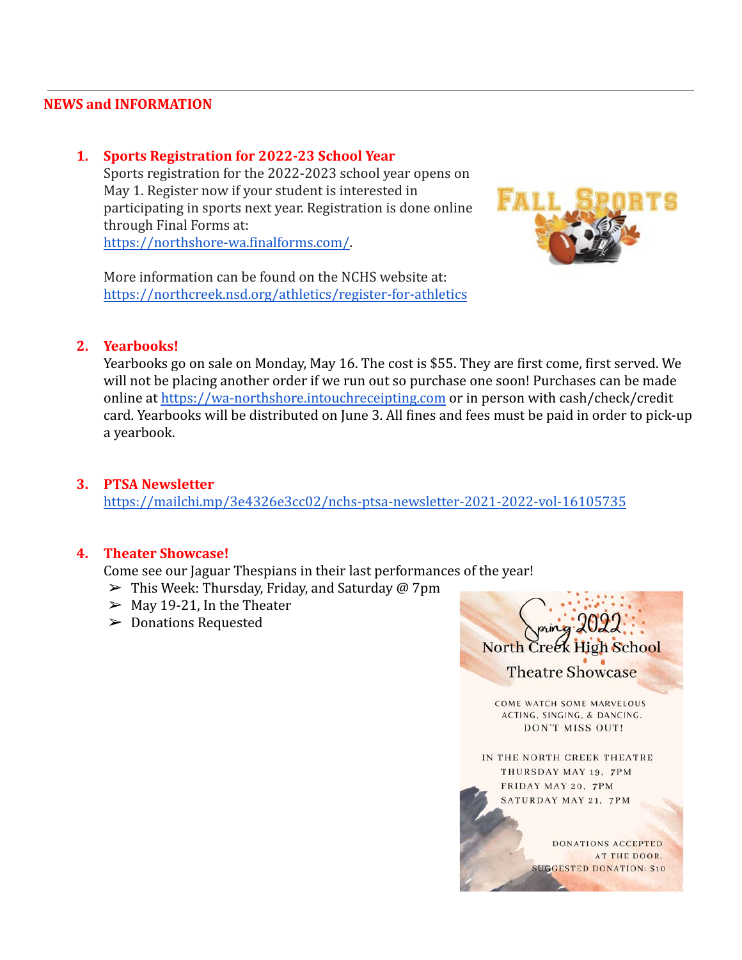#### **NEWS and INFORMATION**

#### **1. Sports Registration for 2022-23 School Year**

 Sports registration for the 2022-2023 school year opens on May 1. Register now if your student is interested in participating in sports next year. Registration is done online through Final Forms at:  [https://northshore-wa.finalforms.com/.](https://northshore-wa.finalforms.com/)

 More information can be found on the NCHS website at: <https://northcreek.nsd.org/athletics/register-for-athletics>



#### **2. Yearbooks!**

 Yearbooks go on sale on Monday, May 16. The cost is \$55. They are first come, first served. We will not be placing another order if we run out so purchase one soon! Purchases can be made online at [https://wa-northshore.intouchreceipting.com](https://wa-northshore.intouchreceipting.com/) or in person with cash/check/credit card. Yearbooks will be distributed on June 3. All fines and fees must be paid in order to pick-up a yearbook.

#### **3. PTSA Newsletter**

<https://mailchi.mp/3e4326e3cc02/nchs-ptsa-newsletter-2021-2022-vol-16105735>

#### **4. Theater Showcase!**

Come see our Jaguar Thespians in their last performances of the year!

- $\triangleright$  This Week: Thursday, Friday, and Saturday @ 7pm
- $\geq$  May 19-21, In the Theater
- ➢ Donations Requested

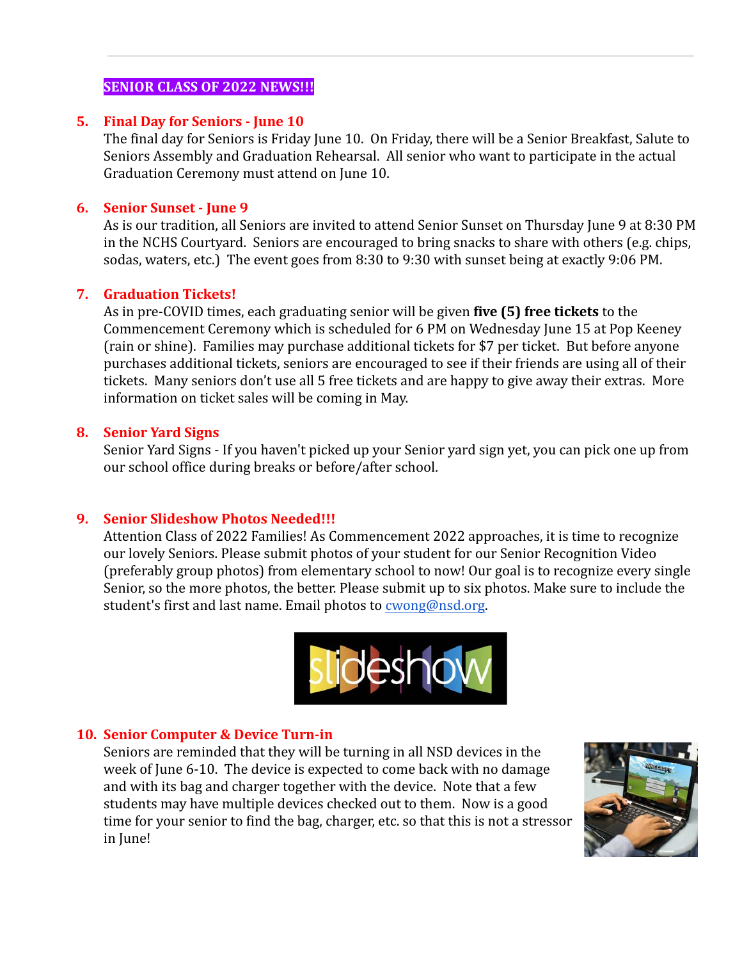## **SENIOR CLASS OF 2022 NEWS!!!**

#### **5. Final Day for Seniors - June 10**

 The final day for Seniors is Friday June 10. On Friday, there will be a Senior Breakfast, Salute to Seniors Assembly and Graduation Rehearsal. All senior who want to participate in the actual Graduation Ceremony must attend on June 10.

## **6. Senior Sunset - June 9**

 As is our tradition, all Seniors are invited to attend Senior Sunset on Thursday June 9 at 8:30 PM in the NCHS Courtyard. Seniors are encouraged to bring snacks to share with others (e.g. chips, sodas, waters, etc.) The event goes from 8:30 to 9:30 with sunset being at exactly 9:06 PM.

### **7. Graduation Tickets!**

 As in pre-COVID times, each graduating senior will be given **five (5) free tickets** to the Commencement Ceremony which is scheduled for 6 PM on Wednesday June 15 at Pop Keeney (rain or shine). Families may purchase additional tickets for \$7 per ticket. But before anyone purchases additional tickets, seniors are encouraged to see if their friends are using all of their tickets. Many seniors don't use all 5 free tickets and are happy to give away their extras. More information on ticket sales will be coming in May.

### **8. Senior Yard Signs**

 Senior Yard Signs - If you haven't picked up your Senior yard sign yet, you can pick one up from our school office during breaks or before/after school.

### **9. Senior Slideshow Photos Needed!!!**

 Attention Class of 2022 Families! As Commencement 2022 approaches, it is time to recognize our lovely Seniors. Please submit photos of your student for our Senior Recognition Video (preferably group photos) from elementary school to now! Our goal is to recognize every single Senior, so the more photos, the better. Please submit up to six photos. Make sure to include the student's first and last name. Email photos to [cwong@nsd.org](mailto:cwong@nsd.org).



## **10. Senior Computer & Device Turn-in**

 Seniors are reminded that they will be turning in all NSD devices in the week of June 6-10. The device is expected to come back with no damage and with its bag and charger together with the device. Note that a few students may have multiple devices checked out to them. Now is a good time for your senior to find the bag, charger, etc. so that this is not a stressor in June!

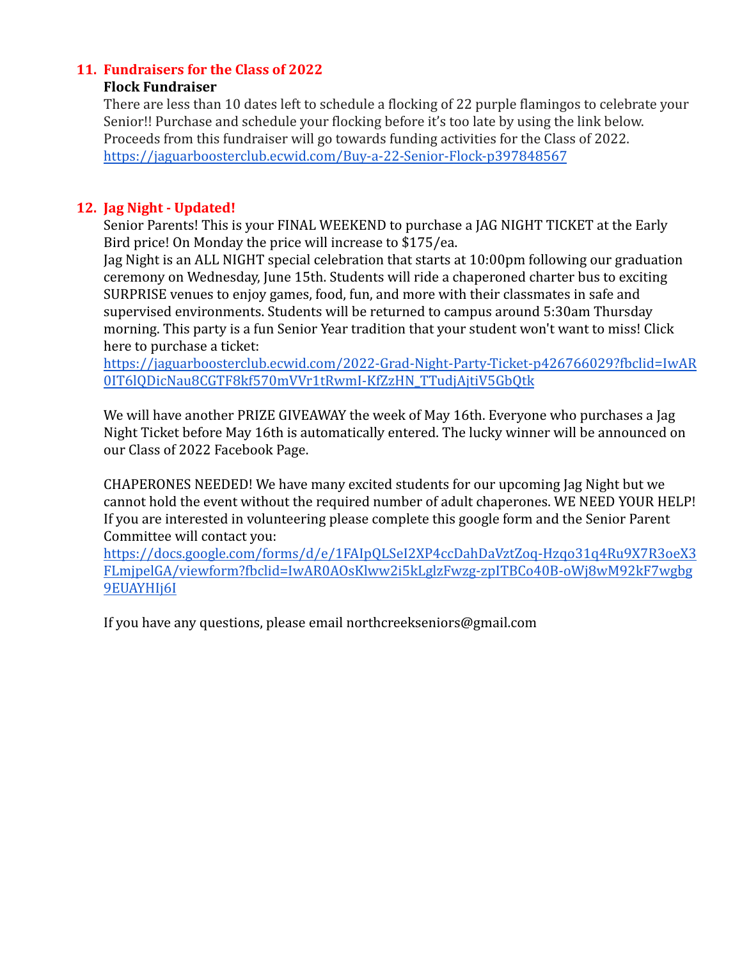## **11. Fundraisers for the Class of 2022**

### **Flock Fundraiser**

 There are less than 10 dates left to schedule a flocking of 22 purple flamingos to celebrate your Senior!! Purchase and schedule your flocking before it's too late by using the link below. Proceeds from this fundraiser will go towards funding activities for the Class of 2022. <https://jaguarboosterclub.ecwid.com/Buy-a-22-Senior-Flock-p397848567>

## **12. Jag Night - Updated!**

 Senior Parents! This is your FINAL WEEKEND to purchase a JAG NIGHT TICKET at the Early Bird price! On Monday the price will increase to \$175/ea.

 Jag Night is an ALL NIGHT special celebration that starts at 10:00pm following our graduation ceremony on Wednesday, June 15th. Students will ride a chaperoned charter bus to exciting SURPRISE venues to enjoy games, food, fun, and more with their classmates in safe and supervised environments. Students will be returned to campus around 5:30am Thursday morning. This party is a fun Senior Year tradition that your student won't want to miss! Click here to purchase a ticket:

 [https://jaguarboosterclub.ecwid.com/2022-Grad-Night-Party-Ticket-p426766029?fbclid=IwAR](https://jaguarboosterclub.ecwid.com/2022-Grad-Night-Party-Ticket-p426766029?fbclid=IwAR0IT6lQDicNau8CGTF8kf570mVVr1tRwmI-KfZzHN_TTudjAjtiV5GbQtk)   [0IT6lQDicNau8CGTF8kf570mVVr1tRwmI-KfZzHN\\_TTudjAjtiV5GbQtk](https://jaguarboosterclub.ecwid.com/2022-Grad-Night-Party-Ticket-p426766029?fbclid=IwAR0IT6lQDicNau8CGTF8kf570mVVr1tRwmI-KfZzHN_TTudjAjtiV5GbQtk) 

 We will have another PRIZE GIVEAWAY the week of May 16th. Everyone who purchases a Jag Night Ticket before May 16th is automatically entered. The lucky winner will be announced on our Class of 2022 Facebook Page.

 CHAPERONES NEEDED! We have many excited students for our upcoming Jag Night but we cannot hold the event without the required number of adult chaperones. WE NEED YOUR HELP! If you are interested in volunteering please complete this google form and the Senior Parent Committee will contact you:

 [https://docs.google.com/forms/d/e/1FAIpQLSeI2XP4ccDahDaVztZoq-Hzqo31q4Ru9X7R3oeX3](https://docs.google.com/forms/d/e/1FAIpQLSeI2XP4ccDahDaVztZoq-Hzqo31q4Ru9X7R3oeX3FLmjpelGA/viewform?fbclid=IwAR0AOsKlww2i5kLglzFwzg-zpITBCo40B-oWj8wM92kF7wgbg9EUAYHIj6I)   [FLmjpelGA/viewform?fbclid=IwAR0AOsKlww2i5kLglzFwzg-zpITBCo40B-oWj8wM92kF7wgbg](https://docs.google.com/forms/d/e/1FAIpQLSeI2XP4ccDahDaVztZoq-Hzqo31q4Ru9X7R3oeX3FLmjpelGA/viewform?fbclid=IwAR0AOsKlww2i5kLglzFwzg-zpITBCo40B-oWj8wM92kF7wgbg9EUAYHIj6I)   [9EUAYHIj6I](https://docs.google.com/forms/d/e/1FAIpQLSeI2XP4ccDahDaVztZoq-Hzqo31q4Ru9X7R3oeX3FLmjpelGA/viewform?fbclid=IwAR0AOsKlww2i5kLglzFwzg-zpITBCo40B-oWj8wM92kF7wgbg9EUAYHIj6I) 

If you have any questions, please email northcreekseniors@gmail.com